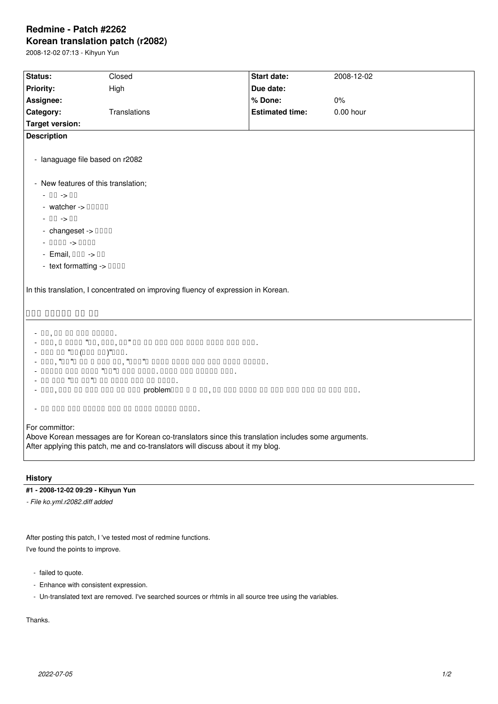## **Redmine - Patch #2262 Korean translation patch (r2082)**

2008-12-02 07:13 - Kihyun Yun

| Status:                                       | Closed                                                                                                                                                                                 | <b>Start date:</b>     | 2008-12-02  |  |  |  |  |
|-----------------------------------------------|----------------------------------------------------------------------------------------------------------------------------------------------------------------------------------------|------------------------|-------------|--|--|--|--|
| <b>Priority:</b>                              | High                                                                                                                                                                                   | Due date:              |             |  |  |  |  |
| Assignee:                                     |                                                                                                                                                                                        | % Done:                | 0%          |  |  |  |  |
| Category:                                     | Translations                                                                                                                                                                           | <b>Estimated time:</b> | $0.00$ hour |  |  |  |  |
| <b>Target version:</b>                        |                                                                                                                                                                                        |                        |             |  |  |  |  |
| <b>Description</b>                            |                                                                                                                                                                                        |                        |             |  |  |  |  |
| - lanaguage file based on r2082               |                                                                                                                                                                                        |                        |             |  |  |  |  |
| - New features of this translation;           |                                                                                                                                                                                        |                        |             |  |  |  |  |
| $-11 - 11$                                    |                                                                                                                                                                                        |                        |             |  |  |  |  |
| $-$ watcher $\rightarrow$ 00000               |                                                                                                                                                                                        |                        |             |  |  |  |  |
| $-$ 00 $\rightarrow$ 00                       |                                                                                                                                                                                        |                        |             |  |  |  |  |
| - changeset $\rightarrow$ 0000                |                                                                                                                                                                                        |                        |             |  |  |  |  |
| $-0000 - 0000$                                |                                                                                                                                                                                        |                        |             |  |  |  |  |
| $-$ Email, $000 - 100$                        |                                                                                                                                                                                        |                        |             |  |  |  |  |
| - text formatting -> 0000                     |                                                                                                                                                                                        |                        |             |  |  |  |  |
|                                               |                                                                                                                                                                                        |                        |             |  |  |  |  |
|                                               | In this translation, I concentrated on improving fluency of expression in Korean.                                                                                                      |                        |             |  |  |  |  |
|                                               |                                                                                                                                                                                        |                        |             |  |  |  |  |
| 000 00000 00 00                               |                                                                                                                                                                                        |                        |             |  |  |  |  |
| $-00,00000000000$<br>- 000 00 00 000 00) 000. |                                                                                                                                                                                        |                        |             |  |  |  |  |
| For committor:                                | Above Korean messages are for Korean co-translators since this translation includes some arguments.<br>After applying this patch, me and co-translators will discuss about it my blog. |                        |             |  |  |  |  |

## **History**

## **#1 - 2008-12-02 09:29 - Kihyun Yun**

*- File ko.yml.r2082.diff added*

After posting this patch, I 've tested most of redmine functions. I've found the points to improve.

- failed to quote.
- Enhance with consistent expression.
- Un-translated text are removed. I've searched sources or rhtmls in all source tree using the variables.

Thanks.